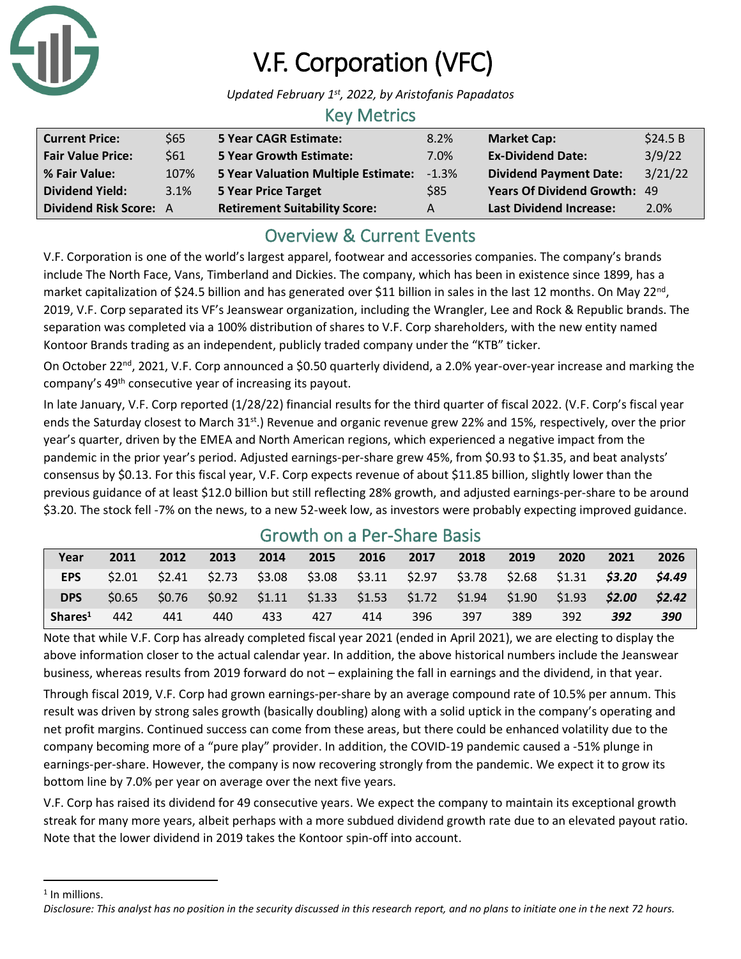

# V.F. Corporation (VFC)

*Updated February 1st, 2022, by Aristofanis Papadatos*

#### Key Metrics

| <b>Current Price:</b>         | \$65 | <b>5 Year CAGR Estimate:</b>         | 8.2%    | <b>Market Cap:</b>                  | \$24.5 B |
|-------------------------------|------|--------------------------------------|---------|-------------------------------------|----------|
| <b>Fair Value Price:</b>      | \$61 | <b>5 Year Growth Estimate:</b>       | 7.0%    | <b>Ex-Dividend Date:</b>            | 3/9/22   |
| % Fair Value:                 | 107% | 5 Year Valuation Multiple Estimate:  | $-1.3%$ | <b>Dividend Payment Date:</b>       | 3/21/22  |
| <b>Dividend Yield:</b>        | 3.1% | <b>5 Year Price Target</b>           | \$85    | <b>Years Of Dividend Growth: 49</b> |          |
| <b>Dividend Risk Score: A</b> |      | <b>Retirement Suitability Score:</b> | A       | <b>Last Dividend Increase:</b>      | 2.0%     |

# Overview & Current Events

V.F. Corporation is one of the world's largest apparel, footwear and accessories companies. The company's brands include The North Face, Vans, Timberland and Dickies. The company, which has been in existence since 1899, has a market capitalization of \$24.5 billion and has generated over \$11 billion in sales in the last 12 months. On May 22<sup>nd</sup>, 2019, V.F. Corp separated its VF's Jeanswear organization, including the Wrangler, Lee and Rock & Republic brands. The separation was completed via a 100% distribution of shares to V.F. Corp shareholders, with the new entity named Kontoor Brands trading as an independent, publicly traded company under the "KTB" ticker.

On October 22<sup>nd</sup>, 2021, V.F. Corp announced a \$0.50 quarterly dividend, a 2.0% year-over-year increase and marking the company's 49th consecutive year of increasing its payout.

In late January, V.F. Corp reported (1/28/22) financial results for the third quarter of fiscal 2022. (V.F. Corp's fiscal year ends the Saturday closest to March 31<sup>st</sup>.) Revenue and organic revenue grew 22% and 15%, respectively, over the prior year's quarter, driven by the EMEA and North American regions, which experienced a negative impact from the pandemic in the prior year's period. Adjusted earnings-per-share grew 45%, from \$0.93 to \$1.35, and beat analysts' consensus by \$0.13. For this fiscal year, V.F. Corp expects revenue of about \$11.85 billion, slightly lower than the previous guidance of at least \$12.0 billion but still reflecting 28% growth, and adjusted earnings-per-share to be around \$3.20. The stock fell -7% on the news, to a new 52-week low, as investors were probably expecting improved guidance.

| Growth on a Per-Share Basis |        |      |      |      |                                                         |      |      |        |        |                 |        |        |
|-----------------------------|--------|------|------|------|---------------------------------------------------------|------|------|--------|--------|-----------------|--------|--------|
| Year                        | 2011   | 2012 | 2013 | 2014 | 2015                                                    | 2016 | 2017 | 2018   | 2019   | 2020            | 2021   | 2026   |
| <b>EPS</b>                  | \$2.01 |      |      |      | $$2.41$ $$2.73$ $$3.08$ $$3.08$ $$3.11$ $$2.97$         |      |      | \$3.78 | \$2.68 | $$1.31$ $$3.20$ |        | \$4.49 |
| <b>DPS</b>                  | \$0.65 |      |      |      | $$0.76$ $$0.92$ $$1.11$ $$1.33$ $$1.53$ $$1.72$ $$1.94$ |      |      |        | \$1.90 | \$1.93          | \$2.00 | \$2.42 |
| Shares <sup>1</sup>         | 442    | 441  | 440  | 433  | 427                                                     | 414  | 396  | 397    | 389    | 392             | 392    | 390    |

### Growth on a Per-Share Basis

Note that while V.F. Corp has already completed fiscal year 2021 (ended in April 2021), we are electing to display the above information closer to the actual calendar year. In addition, the above historical numbers include the Jeanswear business, whereas results from 2019 forward do not – explaining the fall in earnings and the dividend, in that year.

Through fiscal 2019, V.F. Corp had grown earnings-per-share by an average compound rate of 10.5% per annum. This result was driven by strong sales growth (basically doubling) along with a solid uptick in the company's operating and net profit margins. Continued success can come from these areas, but there could be enhanced volatility due to the company becoming more of a "pure play" provider. In addition, the COVID-19 pandemic caused a -51% plunge in earnings-per-share. However, the company is now recovering strongly from the pandemic. We expect it to grow its bottom line by 7.0% per year on average over the next five years.

V.F. Corp has raised its dividend for 49 consecutive years. We expect the company to maintain its exceptional growth streak for many more years, albeit perhaps with a more subdued dividend growth rate due to an elevated payout ratio. Note that the lower dividend in 2019 takes the Kontoor spin-off into account.

<sup>&</sup>lt;sup>1</sup> In millions.

*Disclosure: This analyst has no position in the security discussed in this research report, and no plans to initiate one in the next 72 hours.*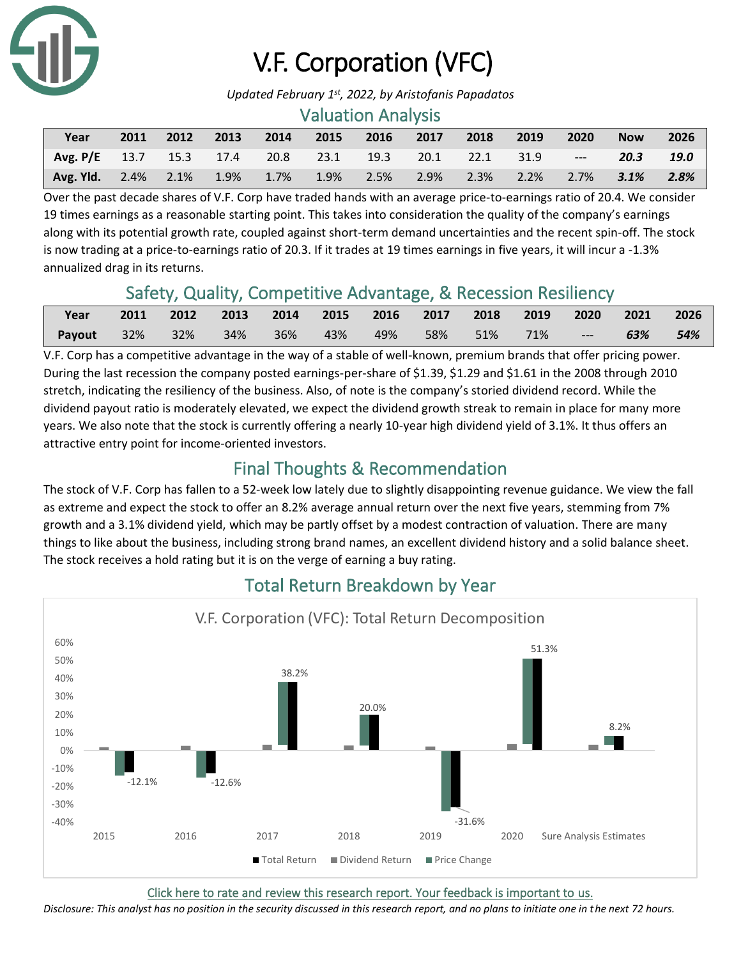

# V.F. Corporation (VFC)

*Updated February 1st, 2022, by Aristofanis Papadatos*

#### Valuation Analysis

| Year                                                                        | 2011 | 2012 |  | 2013 2014 2015 2016 2017 | 2018 | 2019 | 2020 | <b>Now</b> | 2026 |
|-----------------------------------------------------------------------------|------|------|--|--------------------------|------|------|------|------------|------|
| Avg. P/E $13.7$ $15.3$ $17.4$ $20.8$ $23.1$ $19.3$ $20.1$ $22.1$ $31.9$ --- |      |      |  |                          |      |      |      | 20.3 19.0  |      |
| Avg. Yld. 2.4% 2.1% 1.9% 1.7% 1.9% 2.5% 2.9% 2.3% 2.2% 2.7% 3.1% 2.8%       |      |      |  |                          |      |      |      |            |      |

Over the past decade shares of V.F. Corp have traded hands with an average price-to-earnings ratio of 20.4. We consider 19 times earnings as a reasonable starting point. This takes into consideration the quality of the company's earnings along with its potential growth rate, coupled against short-term demand uncertainties and the recent spin-off. The stock is now trading at a price-to-earnings ratio of 20.3. If it trades at 19 times earnings in five years, it will incur a -1.3% annualized drag in its returns.

# Safety, Quality, Competitive Advantage, & Recession Resiliency

| Year                  | 2011 | 2012 2013 2014 2015 2016 2017 2018 2019 2020 2021 2026 |  |                         |  |         |     |     |
|-----------------------|------|--------------------------------------------------------|--|-------------------------|--|---------|-----|-----|
| <b>Payout</b> 32% 32% |      | 34%                                                    |  | 36% 43% 49% 58% 51% 71% |  | N 444 N | 63% | 54% |

V.F. Corp has a competitive advantage in the way of a stable of well-known, premium brands that offer pricing power. During the last recession the company posted earnings-per-share of \$1.39, \$1.29 and \$1.61 in the 2008 through 2010 stretch, indicating the resiliency of the business. Also, of note is the company's storied dividend record. While the dividend payout ratio is moderately elevated, we expect the dividend growth streak to remain in place for many more years. We also note that the stock is currently offering a nearly 10-year high dividend yield of 3.1%. It thus offers an attractive entry point for income-oriented investors.

# Final Thoughts & Recommendation

The stock of V.F. Corp has fallen to a 52-week low lately due to slightly disappointing revenue guidance. We view the fall as extreme and expect the stock to offer an 8.2% average annual return over the next five years, stemming from 7% growth and a 3.1% dividend yield, which may be partly offset by a modest contraction of valuation. There are many things to like about the business, including strong brand names, an excellent dividend history and a solid balance sheet. The stock receives a hold rating but it is on the verge of earning a buy rating.



### Total Return Breakdown by Year

[Click here to rate and review this research report. Your feedback is important to us.](https://suredividend.typeform.com/to/S0SIkB)

*Disclosure: This analyst has no position in the security discussed in this research report, and no plans to initiate one in the next 72 hours.*